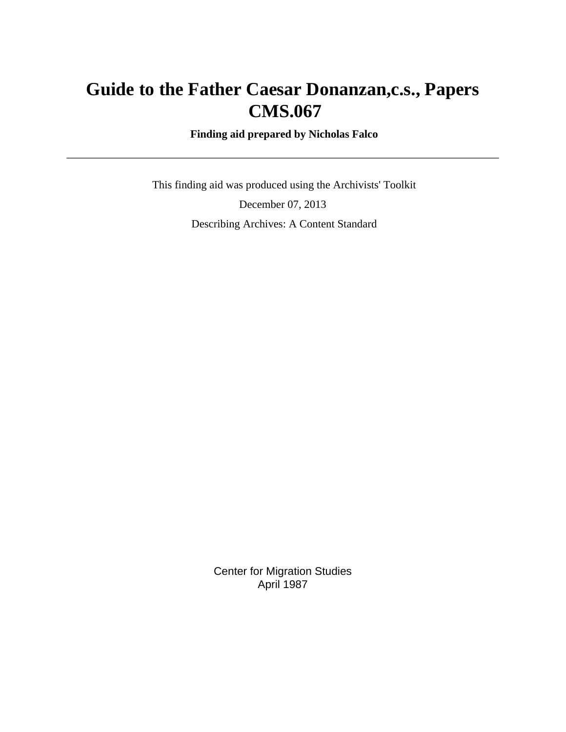# **Guide to the Father Caesar Donanzan,c.s., Papers CMS.067**

 **Finding aid prepared by Nicholas Falco**

 This finding aid was produced using the Archivists' Toolkit December 07, 2013 Describing Archives: A Content Standard

> Center for Migration Studies April 1987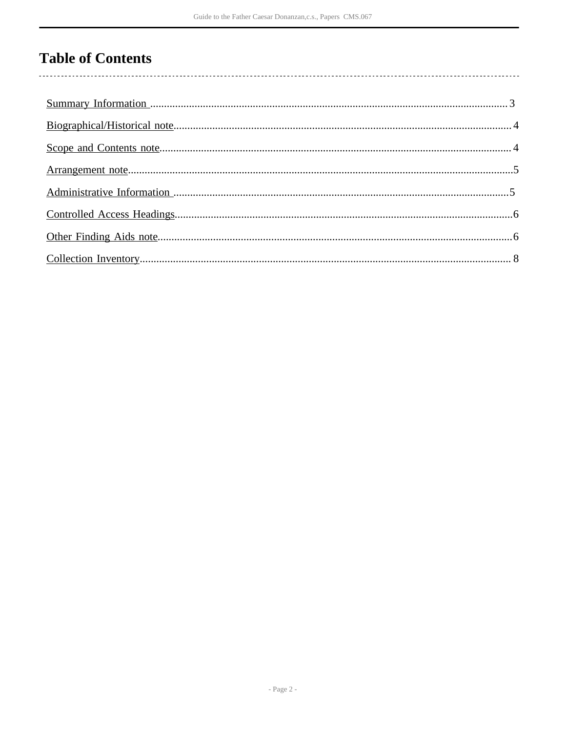# **Table of Contents**

 $\overline{\phantom{a}}$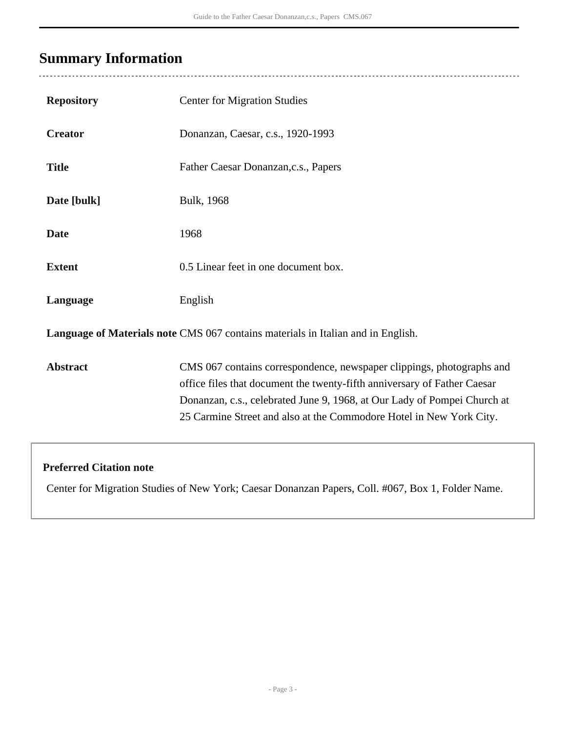# <span id="page-2-0"></span>**Summary Information**

 $\overline{a}$ 

| <b>Repository</b>                                                                | <b>Center for Migration Studies</b>                                                                                                                                                                                                                                                                  |  |
|----------------------------------------------------------------------------------|------------------------------------------------------------------------------------------------------------------------------------------------------------------------------------------------------------------------------------------------------------------------------------------------------|--|
| <b>Creator</b>                                                                   | Donanzan, Caesar, c.s., 1920-1993                                                                                                                                                                                                                                                                    |  |
| <b>Title</b>                                                                     | Father Caesar Donanzan, c.s., Papers                                                                                                                                                                                                                                                                 |  |
| Date [bulk]                                                                      | Bulk, 1968                                                                                                                                                                                                                                                                                           |  |
| <b>Date</b>                                                                      | 1968                                                                                                                                                                                                                                                                                                 |  |
| <b>Extent</b>                                                                    | 0.5 Linear feet in one document box.                                                                                                                                                                                                                                                                 |  |
| Language                                                                         | English                                                                                                                                                                                                                                                                                              |  |
| Language of Materials note CMS 067 contains materials in Italian and in English. |                                                                                                                                                                                                                                                                                                      |  |
| <b>Abstract</b>                                                                  | CMS 067 contains correspondence, newspaper clippings, photographs and<br>office files that document the twenty-fifth anniversary of Father Caesar<br>Donanzan, c.s., celebrated June 9, 1968, at Our Lady of Pompei Church at<br>25 Carmine Street and also at the Commodore Hotel in New York City. |  |
|                                                                                  |                                                                                                                                                                                                                                                                                                      |  |

### **Preferred Citation note**

Center for Migration Studies of New York; Caesar Donanzan Papers, Coll. #067, Box 1, Folder Name.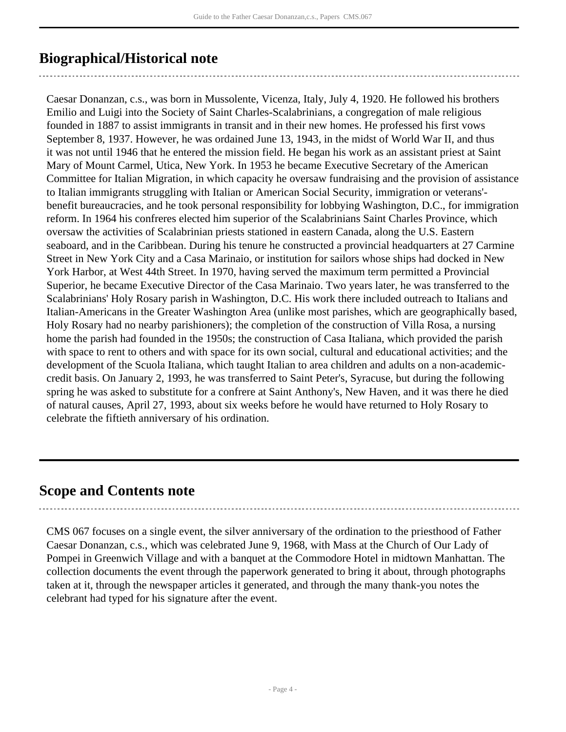# <span id="page-3-0"></span>**Biographical/Historical note**

Caesar Donanzan, c.s., was born in Mussolente, Vicenza, Italy, July 4, 1920. He followed his brothers Emilio and Luigi into the Society of Saint Charles-Scalabrinians, a congregation of male religious founded in 1887 to assist immigrants in transit and in their new homes. He professed his first vows September 8, 1937. However, he was ordained June 13, 1943, in the midst of World War II, and thus it was not until 1946 that he entered the mission field. He began his work as an assistant priest at Saint Mary of Mount Carmel, Utica, New York. In 1953 he became Executive Secretary of the American Committee for Italian Migration, in which capacity he oversaw fundraising and the provision of assistance to Italian immigrants struggling with Italian or American Social Security, immigration or veterans' benefit bureaucracies, and he took personal responsibility for lobbying Washington, D.C., for immigration reform. In 1964 his confreres elected him superior of the Scalabrinians Saint Charles Province, which oversaw the activities of Scalabrinian priests stationed in eastern Canada, along the U.S. Eastern seaboard, and in the Caribbean. During his tenure he constructed a provincial headquarters at 27 Carmine Street in New York City and a Casa Marinaio, or institution for sailors whose ships had docked in New York Harbor, at West 44th Street. In 1970, having served the maximum term permitted a Provincial Superior, he became Executive Director of the Casa Marinaio. Two years later, he was transferred to the Scalabrinians' Holy Rosary parish in Washington, D.C. His work there included outreach to Italians and Italian-Americans in the Greater Washington Area (unlike most parishes, which are geographically based, Holy Rosary had no nearby parishioners); the completion of the construction of Villa Rosa, a nursing home the parish had founded in the 1950s; the construction of Casa Italiana, which provided the parish with space to rent to others and with space for its own social, cultural and educational activities; and the development of the Scuola Italiana, which taught Italian to area children and adults on a non-academiccredit basis. On January 2, 1993, he was transferred to Saint Peter's, Syracuse, but during the following spring he was asked to substitute for a confrere at Saint Anthony's, New Haven, and it was there he died of natural causes, April 27, 1993, about six weeks before he would have returned to Holy Rosary to celebrate the fiftieth anniversary of his ordination.

## <span id="page-3-1"></span>**Scope and Contents note**

CMS 067 focuses on a single event, the silver anniversary of the ordination to the priesthood of Father Caesar Donanzan, c.s., which was celebrated June 9, 1968, with Mass at the Church of Our Lady of Pompei in Greenwich Village and with a banquet at the Commodore Hotel in midtown Manhattan. The collection documents the event through the paperwork generated to bring it about, through photographs taken at it, through the newspaper articles it generated, and through the many thank-you notes the celebrant had typed for his signature after the event.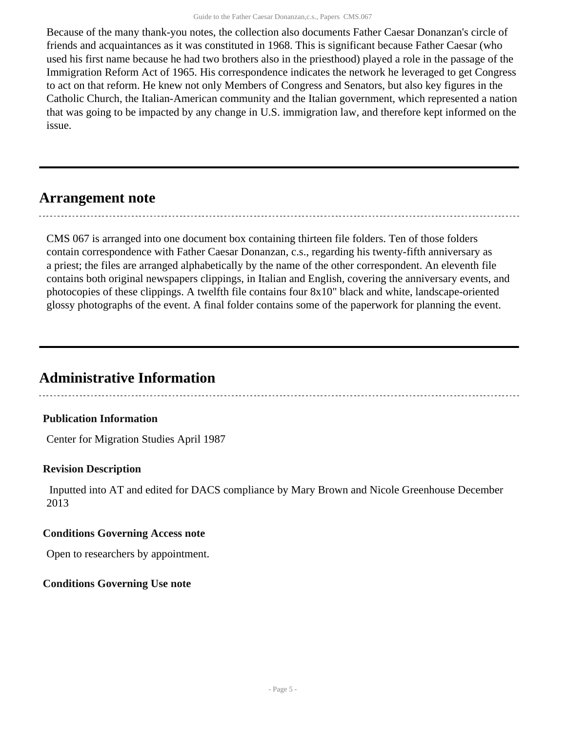Because of the many thank-you notes, the collection also documents Father Caesar Donanzan's circle of friends and acquaintances as it was constituted in 1968. This is significant because Father Caesar (who used his first name because he had two brothers also in the priesthood) played a role in the passage of the Immigration Reform Act of 1965. His correspondence indicates the network he leveraged to get Congress to act on that reform. He knew not only Members of Congress and Senators, but also key figures in the Catholic Church, the Italian-American community and the Italian government, which represented a nation that was going to be impacted by any change in U.S. immigration law, and therefore kept informed on the issue.

### <span id="page-4-0"></span>**Arrangement note**

CMS 067 is arranged into one document box containing thirteen file folders. Ten of those folders contain correspondence with Father Caesar Donanzan, c.s., regarding his twenty-fifth anniversary as a priest; the files are arranged alphabetically by the name of the other correspondent. An eleventh file contains both original newspapers clippings, in Italian and English, covering the anniversary events, and photocopies of these clippings. A twelfth file contains four 8x10" black and white, landscape-oriented glossy photographs of the event. A final folder contains some of the paperwork for planning the event.

## <span id="page-4-1"></span>**Administrative Information**

#### **Publication Information**

Center for Migration Studies April 1987

#### **Revision Description**

 Inputted into AT and edited for DACS compliance by Mary Brown and Nicole Greenhouse December 2013

#### **Conditions Governing Access note**

Open to researchers by appointment.

#### **Conditions Governing Use note**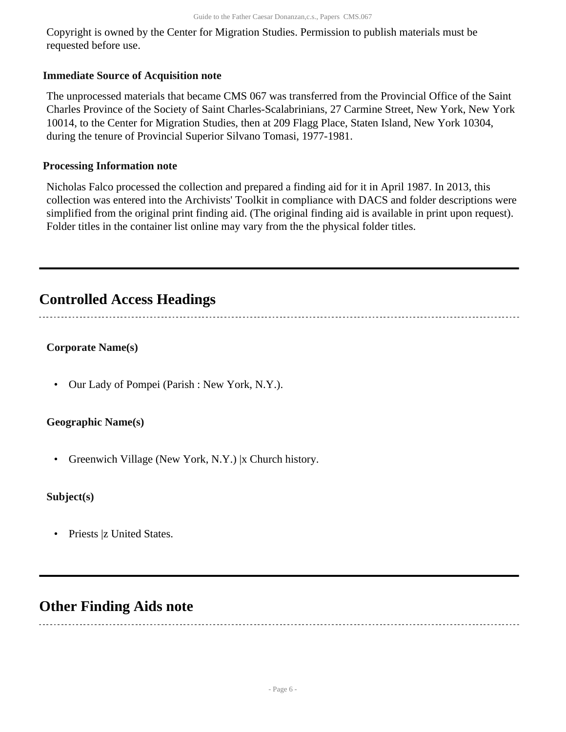Copyright is owned by the Center for Migration Studies. Permission to publish materials must be requested before use.

#### **Immediate Source of Acquisition note**

The unprocessed materials that became CMS 067 was transferred from the Provincial Office of the Saint Charles Province of the Society of Saint Charles-Scalabrinians, 27 Carmine Street, New York, New York 10014, to the Center for Migration Studies, then at 209 Flagg Place, Staten Island, New York 10304, during the tenure of Provincial Superior Silvano Tomasi, 1977-1981.

#### **Processing Information note**

Nicholas Falco processed the collection and prepared a finding aid for it in April 1987. In 2013, this collection was entered into the Archivists' Toolkit in compliance with DACS and folder descriptions were simplified from the original print finding aid. (The original finding aid is available in print upon request). Folder titles in the container list online may vary from the the physical folder titles.

## <span id="page-5-0"></span>**Controlled Access Headings**

#### **Corporate Name(s)**

• Our Lady of Pompei (Parish : New York, N.Y.).

#### **Geographic Name(s)**

• Greenwich Village (New York, N.Y.) |x Church history.

#### **Subject(s)**

• Priests |z United States.

## <span id="page-5-1"></span>**Other Finding Aids note**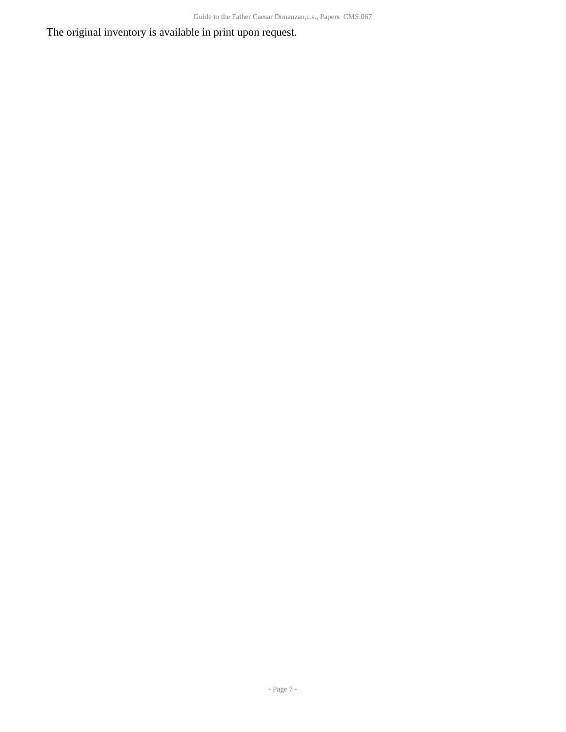The original inventory is available in print upon request.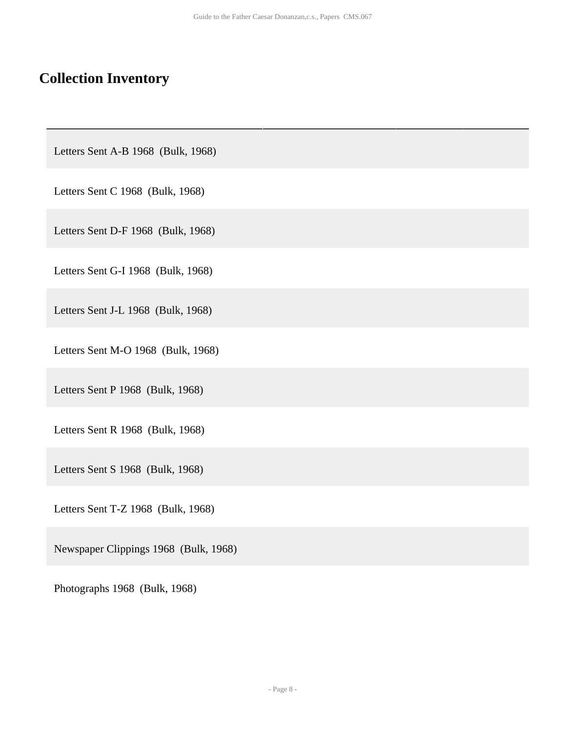# <span id="page-7-0"></span>**Collection Inventory**

Letters Sent A-B 1968 (Bulk, 1968)

Letters Sent C 1968 (Bulk, 1968)

Letters Sent D-F 1968 (Bulk, 1968)

Letters Sent G-I 1968 (Bulk, 1968)

Letters Sent J-L 1968 (Bulk, 1968)

Letters Sent M-O 1968 (Bulk, 1968)

Letters Sent P 1968 (Bulk, 1968)

Letters Sent R 1968 (Bulk, 1968)

Letters Sent S 1968 (Bulk, 1968)

Letters Sent T-Z 1968 (Bulk, 1968)

Newspaper Clippings 1968 (Bulk, 1968)

Photographs 1968 (Bulk, 1968)